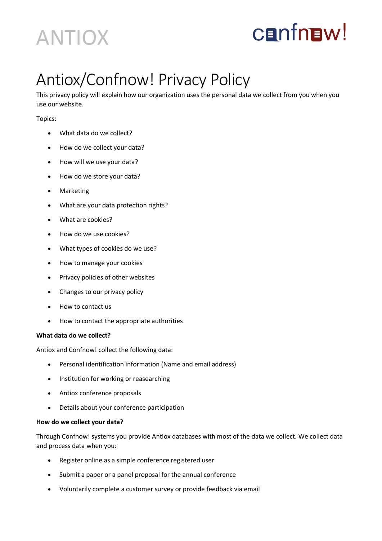## ANTIOX

# **CENTREW!**

### Antiox/Confnow! Privacy Policy

This privacy policy will explain how our organization uses the personal data we collect from you when you use our website.

Topics:

- What data do we collect?
- How do we collect your data?
- How will we use your data?
- How do we store your data?
- Marketing
- What are your data protection rights?
- What are cookies?
- How do we use cookies?
- What types of cookies do we use?
- How to manage your cookies
- Privacy policies of other websites
- Changes to our privacy policy
- How to contact us
- How to contact the appropriate authorities

#### **What data do we collect?**

Antiox and Confnow! collect the following data:

- Personal identification information (Name and email address)
- Institution for working or reasearching
- Antiox conference proposals
- Details about your conference participation

#### **How do we collect your data?**

Through Confnow! systems you provide Antiox databases with most of the data we collect. We collect data and process data when you:

- Register online as a simple conference registered user
- Submit a paper or a panel proposal for the annual conference
- Voluntarily complete a customer survey or provide feedback via email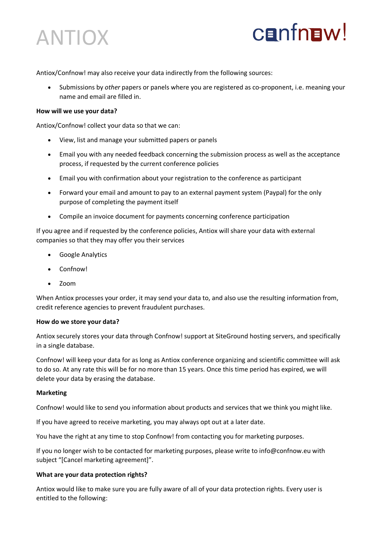

### **CENTREW!**

Antiox/Confnow! may also receive your data indirectly from the following sources:

• Submissions by *other* papers or panels where you are registered as co-proponent, i.e. meaning your name and email are filled in.

#### **How will we use your data?**

Antiox/Confnow! collect your data so that we can:

- View, list and manage your submitted papers or panels
- Email you with any needed feedback concerning the submission process as well as the acceptance process, if requested by the current conference policies
- Email you with confirmation about your registration to the conference as participant
- Forward your email and amount to pay to an external payment system (Paypal) for the only purpose of completing the payment itself
- Compile an invoice document for payments concerning conference participation

If you agree and if requested by the conference policies, Antiox will share your data with external companies so that they may offer you their services

- Google Analytics
- Confnow!
- Zoom

When Antiox processes your order, it may send your data to, and also use the resulting information from, credit reference agencies to prevent fraudulent purchases.

#### **How do we store your data?**

Antiox securely stores your data through Confnow! support at SiteGround hosting servers, and specifically in a single database.

Confnow! will keep your data for as long as Antiox conference organizing and scientific committee will ask to do so. At any rate this will be for no more than 15 years. Once this time period has expired, we will delete your data by erasing the database.

#### **Marketing**

Confnow! would like to send you information about products and services that we think you might like.

If you have agreed to receive marketing, you may always opt out at a later date.

You have the right at any time to stop Confnow! from contacting you for marketing purposes.

If you no longer wish to be contacted for marketing purposes, please write to info@confnow.eu with subject "[Cancel marketing agreement]".

#### **What are your data protection rights?**

Antiox would like to make sure you are fully aware of all of your data protection rights. Every user is entitled to the following: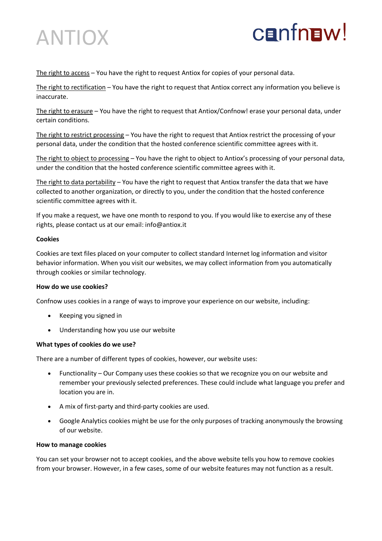



The right to access - You have the right to request Antiox for copies of your personal data.

The right to rectification – You have the right to request that Antiox correct any information you believe is inaccurate.

The right to erasure – You have the right to request that Antiox/Confnow! erase your personal data, under certain conditions.

The right to restrict processing – You have the right to request that Antiox restrict the processing of your personal data, under the condition that the hosted conference scientific committee agrees with it.

The right to object to processing – You have the right to object to Antiox's processing of your personal data, under the condition that the hosted conference scientific committee agrees with it.

The right to data portability – You have the right to request that Antiox transfer the data that we have collected to another organization, or directly to you, under the condition that the hosted conference scientific committee agrees with it.

If you make a request, we have one month to respond to you. If you would like to exercise any of these rights, please contact us at our email: info@antiox.it

#### **Cookies**

Cookies are text files placed on your computer to collect standard Internet log information and visitor behavior information. When you visit our websites, we may collect information from you automatically through cookies or similar technology.

#### **How do we use cookies?**

Confnow uses cookies in a range of ways to improve your experience on our website, including:

- Keeping you signed in
- Understanding how you use our website

#### **What types of cookies do we use?**

There are a number of different types of cookies, however, our website uses:

- Functionality Our Company uses these cookies so that we recognize you on our website and remember your previously selected preferences. These could include what language you prefer and location you are in.
- A mix of first-party and third-party cookies are used.
- Google Analytics cookies might be use for the only purposes of tracking anonymously the browsing of our website.

#### **How to manage cookies**

You can set your browser not to accept cookies, and the above website tells you how to remove cookies from your browser. However, in a few cases, some of our website features may not function as a result.